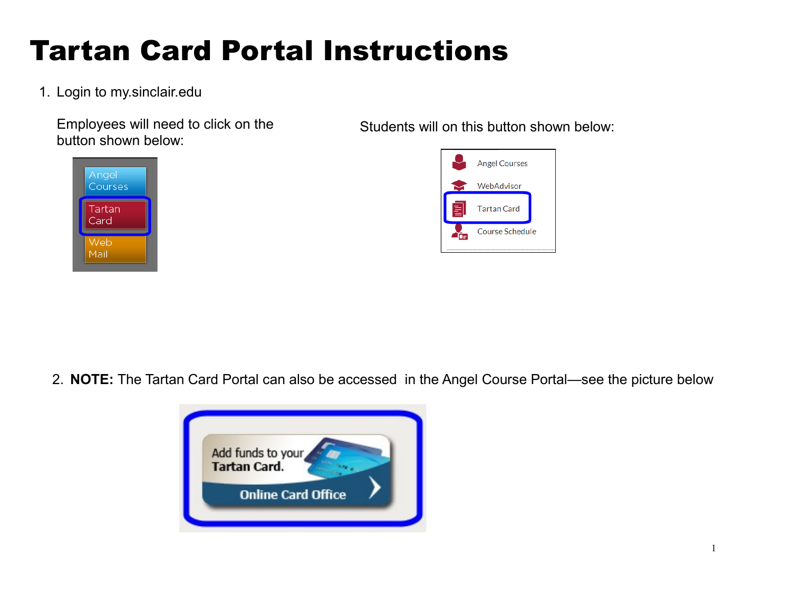# Tartan Card Portal Instructions

## 1. Login to my.sinclair.edu

Employees will need to click on the button shown below:

Students will on this button shown below:





2. **NOTE:** The Tartan Card Portal can also be accessed in the Angel Course Portal—see the picture below

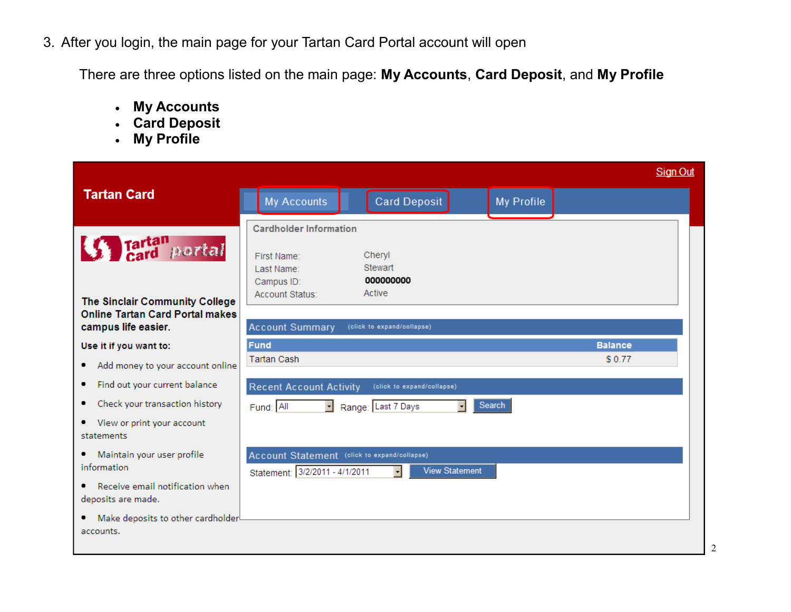3. After you login, the main page for your Tartan Card Portal account will open

There are three options listed on the main page: **My Accounts**, **Card Deposit**, and **My Profile**

- **My Accounts**
- **Card Deposit**
- **My Profile**

|                                                                                                 |                                                                                |                                      |            | <b>Sign Out</b> |
|-------------------------------------------------------------------------------------------------|--------------------------------------------------------------------------------|--------------------------------------|------------|-----------------|
| <b>Tartan Card</b>                                                                              | My Accounts                                                                    | <b>Card Deposit</b>                  | My Profile |                 |
| <b>S</b> Tartan portal                                                                          | <b>Cardholder Information</b><br>First Name:<br>Last Name:<br>Campus ID:       | Cheryl<br>Stewart<br>000000000       |            |                 |
| The Sinclair Community College<br><b>Online Tartan Card Portal makes</b><br>campus life easier. | Account Status:<br><b>Account Summary</b>                                      | Active<br>(click to expand/collapse) |            |                 |
| Use it if you want to:                                                                          | <b>Fund</b>                                                                    |                                      |            | <b>Balance</b>  |
| Add money to your account online<br>٠                                                           | <b>Tartan Cash</b>                                                             |                                      |            | \$0.77          |
| Find out your current balance<br>٠                                                              | <b>Recent Account Activity</b>                                                 | (click to expand/collapse)           |            |                 |
| Check your transaction history<br>٠                                                             | Fund: All<br>$\mathbf{r}$                                                      | Range: Last 7 Days                   | Search     |                 |
| • View or print your account<br>statements                                                      |                                                                                |                                      |            |                 |
| Maintain your user profile<br>٠<br>information                                                  | Account Statement (click to expand/collapse)<br>Statement: 3/2/2011 - 4/1/2011 | <b>View Statement</b>                |            |                 |
| Receive email notification when<br>٠<br>deposits are made.                                      |                                                                                |                                      |            |                 |
| Make deposits to other cardholder!<br>accounts.                                                 |                                                                                |                                      |            |                 |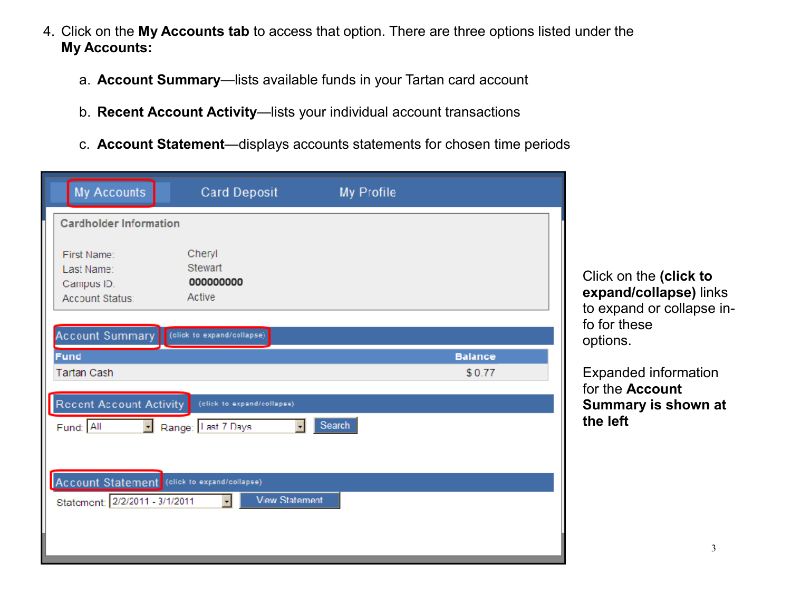- 4. Click on the **My Accounts tab** to access that option. There are three options listed under the **My Accounts:**
	- a. **Account Summary**—lists available funds in your Tartan card account
	- b. **Recent Account Activity**—lists your individual account transactions
	- c. **Account Statement**—displays accounts statements for chosen time periods

| <b>My Accounts</b>                                         | <b>Card Deposit</b>                      | My Profile |                |                                           |
|------------------------------------------------------------|------------------------------------------|------------|----------------|-------------------------------------------|
| <b>Cardholder Information</b>                              |                                          |            |                |                                           |
| First Name:<br>Last Name:<br>Campus ID.<br>Account Status: | Cheryl<br>Stewart<br>000000000<br>Active |            |                | Click on the<br>expand/col<br>to expand o |
| <b>Account Summary</b>                                     | (click to expand/collapse)               |            |                | fo for these<br>options.                  |
| Fund                                                       |                                          |            | <b>Balance</b> |                                           |
| <b>Tartan Cash</b>                                         |                                          |            | \$0.77         | Expanded in                               |
|                                                            |                                          |            |                | for the Acco                              |
| <b>Recent Account Activity</b>                             | (elick to expand/collapse)               |            |                | Summary i                                 |
| Fund: All                                                  | Range: I ast 7 Days                      | Search     |                | the left                                  |
|                                                            |                                          |            |                |                                           |
| Account Statement (click to expand/collapse)               |                                          |            |                |                                           |
| Statement: 2/2/2011 - 3/1/2011                             | <b>View Statement</b>                    |            |                |                                           |
|                                                            |                                          |            |                |                                           |

Click on the **(click to expand/collapse)** links to expand or collapse in-

Expanded information

**Summary is shown at** 

for the **Account**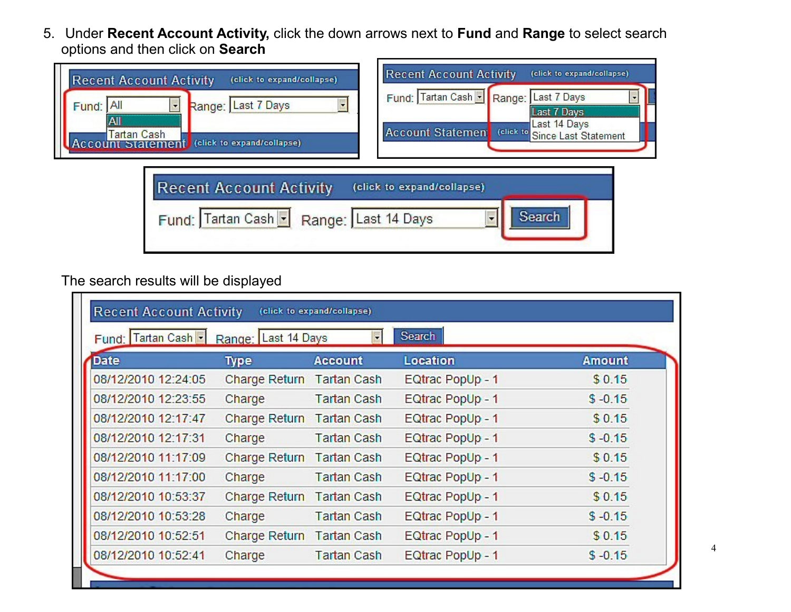5. Under **Recent Account Activity,** click the down arrows next to **Fund** and **Range** to select search options and then click on **Search** 

| <b>Recent Account Activity</b><br>(click to expand/collapse)<br>Range: Last 7 Days<br>IAII<br>Fund:<br>All<br>Tartan Cash<br>(click to expand/collapse)<br>Accor | <b>Recent Account Activity</b><br>(click to expand/collapse)<br>Fund: Tartan Cash -<br>Last 7 Days<br>Range:<br><b>Last 7 Days</b><br>Last 14 Days<br>Account Statement<br>(click to<br>Since Last Statement |
|------------------------------------------------------------------------------------------------------------------------------------------------------------------|--------------------------------------------------------------------------------------------------------------------------------------------------------------------------------------------------------------|
| <b>Recent Account Activity</b><br>Range: Last 14 Days<br>Fund: Tartan Cash -                                                                                     | (click to expand/collapse)<br>Search                                                                                                                                                                         |

# The search results will be displayed

| Fund: Tartan Cash   Range: Last 14 Days |                           |                    | Search           |               |
|-----------------------------------------|---------------------------|--------------------|------------------|---------------|
| <b>Date</b>                             | <b>Type</b>               | <b>Account</b>     | Location         | <b>Amount</b> |
| 08/12/2010 12:24:05                     | Charge Return Tartan Cash |                    | EQtrac PopUp - 1 | \$0.15        |
| 08/12/2010 12:23:55                     | Charge                    | <b>Tartan Cash</b> | EQtrac PopUp - 1 | $$ -0.15$     |
| 08/12/2010 12:17:47                     | Charge Return Tartan Cash |                    | EQtrac PopUp - 1 | \$0.15        |
| 08/12/2010 12:17:31                     | Charge                    | <b>Tartan Cash</b> | EQtrac PopUp - 1 | $$ -0.15$     |
| 08/12/2010 11:17:09                     | <b>Charge Return</b>      | <b>Tartan Cash</b> | EQtrac PopUp - 1 | \$0.15        |
| 08/12/2010 11:17:00                     | Charge                    | <b>Tartan Cash</b> | EQtrac PopUp - 1 | $$ -0.15$     |
| 08/12/2010 10:53:37                     | <b>Charge Return</b>      | <b>Tartan Cash</b> | EQtrac PopUp - 1 | \$0.15        |
| 08/12/2010 10:53:28                     | Charge                    | <b>Tartan Cash</b> | EQtrac PopUp - 1 | $$ -0.15$     |
| 08/12/2010 10:52:51                     | Charge Return Tartan Cash |                    | EQtrac PopUp - 1 | \$0.15        |
| 08/12/2010 10:52:41                     | Charge                    | <b>Tartan Cash</b> | EQtrac PopUp - 1 | $$ -0.15$     |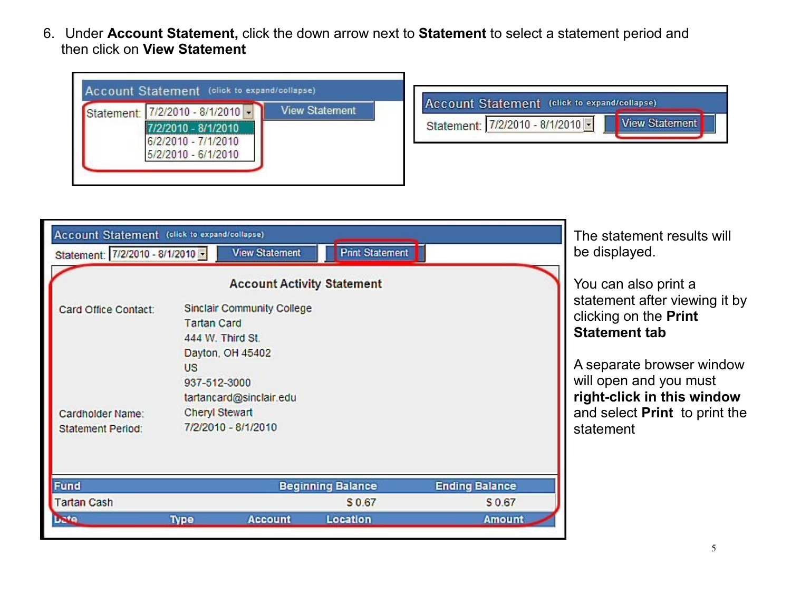6. Under **Account Statement,** click the down arrow next to **Statement** to select a statement period and then click on **View Statement**



| Account Statement (click to expand/collapse)<br>Statement: 7/2/2010 - 8/1/2010 - |                                          | <b>View Statement</b>                                                                                                                                                                     | <b>Print Statement</b>   |                       | The statement results will<br>be displayed.                                                                                                                                                                                               |
|----------------------------------------------------------------------------------|------------------------------------------|-------------------------------------------------------------------------------------------------------------------------------------------------------------------------------------------|--------------------------|-----------------------|-------------------------------------------------------------------------------------------------------------------------------------------------------------------------------------------------------------------------------------------|
| Card Office Contact:<br>Cardholder Name:<br><b>Statement Period:</b>             | <b>Tartan Card</b><br>US<br>937-512-3000 | <b>Account Activity Statement</b><br><b>Sinclair Community College</b><br>444 W. Third St.<br>Dayton, OH 45402<br>tartancard@sinclair.edu<br><b>Cheryl Stewart</b><br>7/2/2010 - 8/1/2010 |                          |                       | You can also print a<br>statement after viewing it by<br>clicking on the Print<br><b>Statement tab</b><br>A separate browser window<br>will open and you must<br>right-click in this window<br>and select Print to print the<br>statement |
| Fund                                                                             |                                          |                                                                                                                                                                                           | <b>Beginning Balance</b> | <b>Ending Balance</b> |                                                                                                                                                                                                                                           |
| <b>Tartan Cash</b>                                                               |                                          |                                                                                                                                                                                           | \$0.67                   | S 0.67                |                                                                                                                                                                                                                                           |
| <b>Lute</b>                                                                      | <b>Type</b>                              | <b>Account</b>                                                                                                                                                                            | Location                 | <b>Amount</b>         |                                                                                                                                                                                                                                           |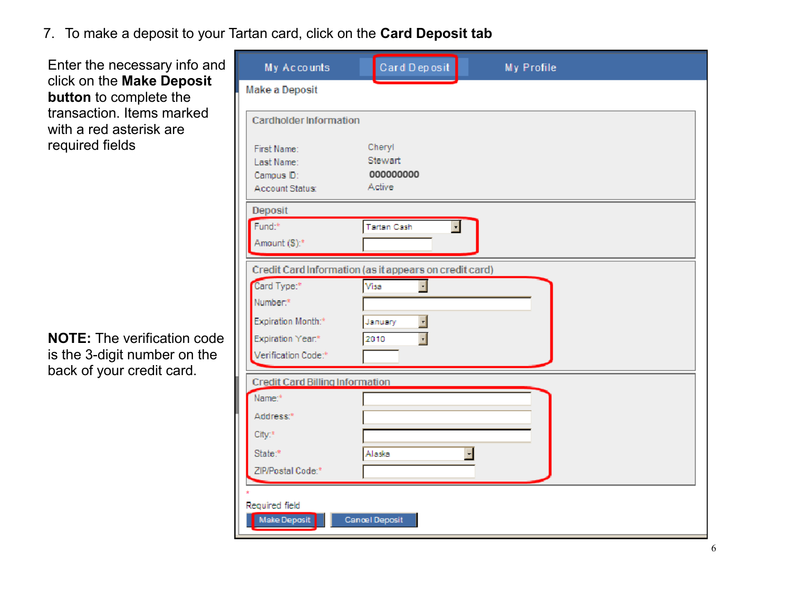## 7. To make a deposit to your Tartan card, click on the **Card Deposit tab**

Enter the necessary info and click on the **Make Deposit button** to complete the transaction. Items marked with a red asterisk are required fields

**NOTE:** The verification code is the 3-digit number on the back of your credit card.

| My Accounts                                            | Card Deposit                     | My Profile |  |
|--------------------------------------------------------|----------------------------------|------------|--|
| Make a Deposit                                         |                                  |            |  |
| Cardholder Information                                 |                                  |            |  |
| First Name:                                            | Cheryl                           |            |  |
| Last Name:                                             | Stewart                          |            |  |
| Campus ID:                                             | 000000000                        |            |  |
| Account Status:                                        | Active                           |            |  |
| Deposit                                                |                                  |            |  |
| Fund: <sup>#</sup>                                     | F<br>Tartan Cash                 |            |  |
| Amount (S):*                                           |                                  |            |  |
|                                                        |                                  |            |  |
| Credit Card Information (as it appears on credit card) |                                  |            |  |
| Card Type:*                                            | Visa<br>$\overline{\phantom{a}}$ |            |  |
| Number:*                                               |                                  |            |  |
| Expiration Month:*                                     | $\mathbf{r}$<br>January          |            |  |
| Expiration Year.*                                      | ᅱ<br>2010                        |            |  |
| Verification Code:*                                    |                                  |            |  |
|                                                        |                                  |            |  |
| <b>Credit Card Billing Information</b>                 |                                  |            |  |
| Name: <sup>+</sup>                                     |                                  |            |  |
| Address:*                                              |                                  |            |  |
| City:*                                                 |                                  |            |  |
| State:*                                                | Alaska                           | F          |  |
| ZIP/Postal Code:*                                      |                                  |            |  |
|                                                        |                                  |            |  |
|                                                        |                                  |            |  |
| Required field<br>Make Deposit                         | Cancel Deposit                   |            |  |
|                                                        |                                  |            |  |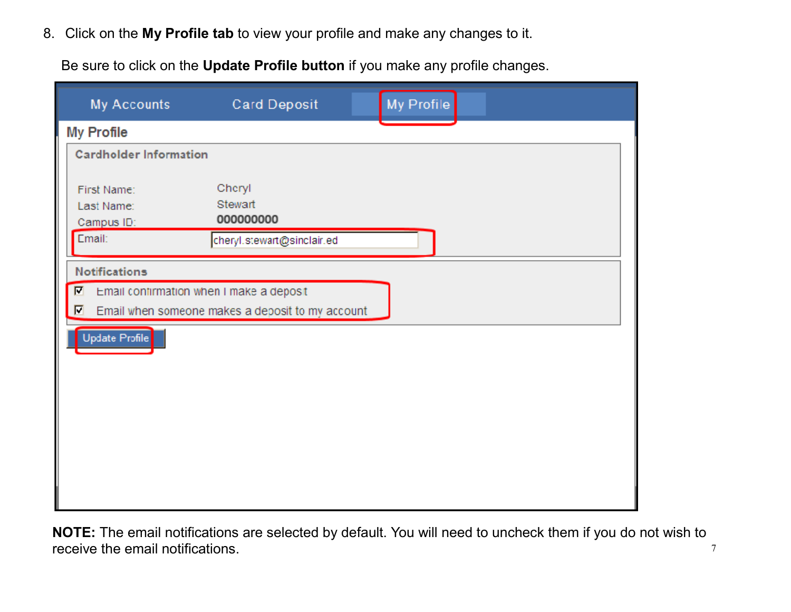8. Click on the **My Profile tab** to view your profile and make any changes to it.

Be sure to click on the **Update Profile button** if you make any profile changes.

| <b>My Accounts</b>                      | <b>Card Deposit</b>                              | My Profile |
|-----------------------------------------|--------------------------------------------------|------------|
| <b>My Profile</b>                       |                                                  |            |
| <b>Cardholder Information</b>           |                                                  |            |
| First Name:<br>Last Name:<br>Campus ID: | Cheryl<br>Stewart<br>000000000                   |            |
| Email:                                  | cheryl.stewart@sinclair.ed                       |            |
| <b>Notifications</b>                    |                                                  |            |
| $\blacksquare$                          | Email confirmation when I make a deposit         |            |
| П                                       | Email when someone makes a deposit to my account |            |
| Update Profile                          |                                                  |            |

7 **NOTE:** The email notifications are selected by default. You will need to uncheck them if you do not wish to receive the email notifications.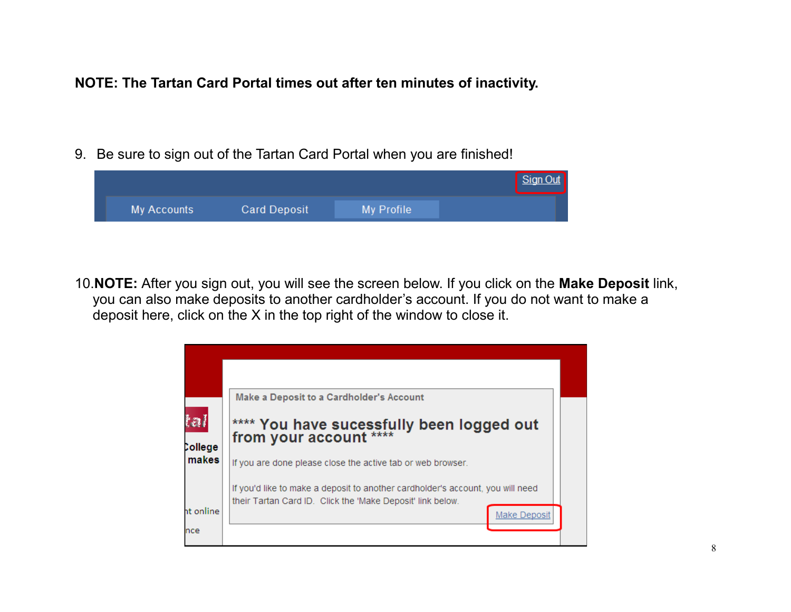#### **NOTE: The Tartan Card Portal times out after ten minutes of inactivity.**

9. Be sure to sign out of the Tartan Card Portal when you are finished!

|             |                     |            | Sign Out |
|-------------|---------------------|------------|----------|
| My Accounts | <b>Card Deposit</b> | My Profile |          |

10.**NOTE:** After you sign out, you will see the screen below. If you click on the **Make Deposit** link, you can also make deposits to another cardholder's account. If you do not want to make a deposit here, click on the X in the top right of the window to close it.

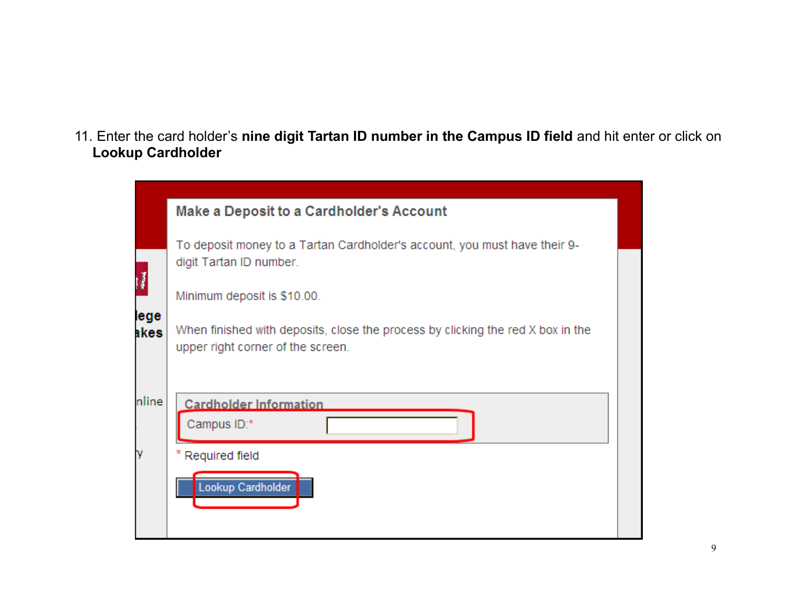11. Enter the card holder's **nine digit Tartan ID number in the Campus ID field** and hit enter or click on **Lookup Cardholder**

|              | <b>Make a Deposit to a Cardholder's Account</b>                                                                      |  |
|--------------|----------------------------------------------------------------------------------------------------------------------|--|
|              | To deposit money to a Tartan Cardholder's account, you must have their 9-<br>digit Tartan ID number.                 |  |
|              | Minimum deposit is \$10.00.                                                                                          |  |
| lege<br>akes | When finished with deposits, close the process by clicking the red X box in the<br>upper right corner of the screen. |  |
|              |                                                                                                                      |  |
| nline        | <b>Cardholder Information</b>                                                                                        |  |
|              | Campus ID:*                                                                                                          |  |
|              | * Required field                                                                                                     |  |
|              | Lookup Cardholder                                                                                                    |  |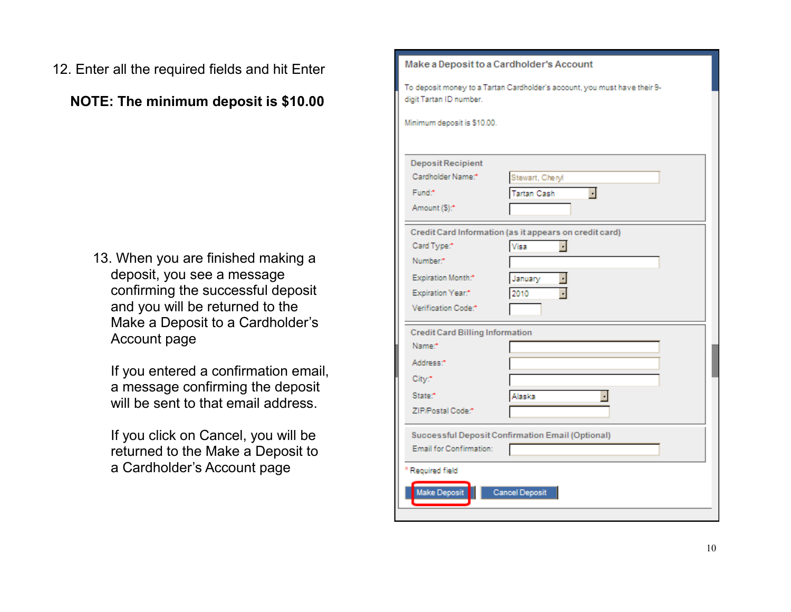12. Enter all the required fields and hit Enter

**NOTE: The minimum deposit is \$10.00**

13. When you are finished making a deposit, you see a message confirming the successful deposit and you will be returned to the Make a Deposit to a Cardholder's Account page

If you entered a confirmation email, a message confirming the deposit will be sent to that email address.

If you click on Cancel, you will be returned to the Make a Deposit to a Cardholder's Account page

| Make a Deposit to a Cardholder's Account |                                                                           |  |
|------------------------------------------|---------------------------------------------------------------------------|--|
|                                          | To deposit money to a Tartan Cardholder's account, you must have their 9- |  |
| digit Tartan ID number.                  |                                                                           |  |
| Minimum deposit is \$10.00.              |                                                                           |  |
|                                          |                                                                           |  |
| <b>Deposit Recipient</b>                 |                                                                           |  |
| Cardholder Name:*                        | Stewart, Cheryl                                                           |  |
| Fund:*                                   | <b>Tartan Cash</b><br>ᆌ                                                   |  |
| Amount (\$):*                            |                                                                           |  |
|                                          | Credit Card Information (as it appears on credit card)                    |  |
| Card Type:*                              | Visa<br>ᆡ                                                                 |  |
| Number. <sup>*</sup>                     |                                                                           |  |
| Expiration Month.*                       | January                                                                   |  |
| Expiration Year.*                        | 2010                                                                      |  |
| Verification Code:*                      |                                                                           |  |
| <b>Credit Card Billing Information</b>   |                                                                           |  |
| Name:*                                   |                                                                           |  |
| Address. <sup>*</sup>                    |                                                                           |  |
| City.*                                   |                                                                           |  |
| State:*                                  | Alaska<br>$\blacksquare$                                                  |  |
| ZIP/Postal Code:*                        |                                                                           |  |
|                                          | Successful Deposit Confirmation Email (Optional)                          |  |
| Email for Confirmation:                  |                                                                           |  |
| Required field                           |                                                                           |  |
| Make Deposit                             | <b>Cancel Deposit</b>                                                     |  |